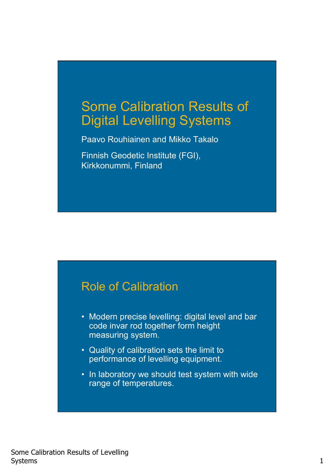## Some Calibration Results of Digital Levelling Systems

Paavo Rouhiainen and Mikko Takalo

Finnish Geodetic Institute (FGI), Kirkkonummi, Finland

#### Role of Calibration

- Modern precise levelling: digital level and bar code invar rod together form height measuring system.
- Quality of calibration sets the limit to performance of levelling equipment.
- In laboratory we should test system with wide range of temperatures.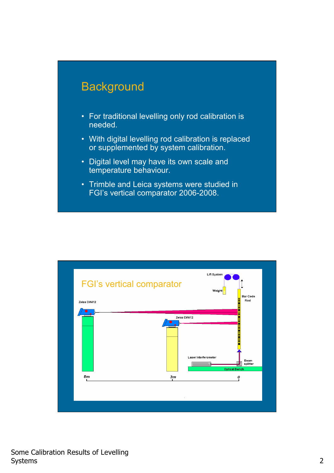

- For traditional levelling only rod calibration is needed.
- With digital levelling rod calibration is replaced or supplemented by system calibration.
- Digital level may have its own scale and temperature behaviour.
- Trimble and Leica systems were studied in FGI's vertical comparator 2006-2008.

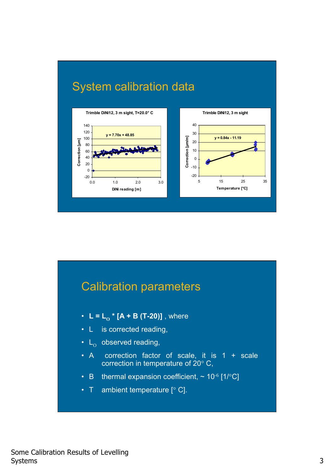

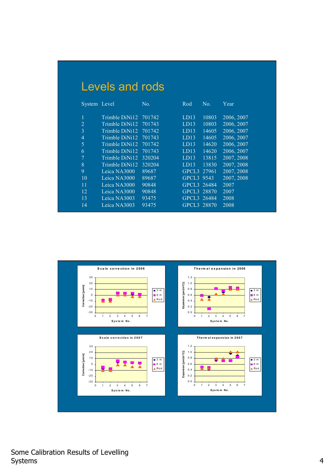## Levels and rods

| System Level   |                | No.    | Rod               | No.   | Year       |
|----------------|----------------|--------|-------------------|-------|------------|
|                |                |        |                   |       |            |
| 1              | Trimble DiNi12 | 701742 | LD13              | 10803 | 2006, 2007 |
| $\overline{2}$ | Trimble DiNi12 | 701743 | LD13              | 10803 | 2006, 2007 |
| 3              | Trimble DiNi12 | 701742 | LD13              | 14605 | 2006, 2007 |
| $\overline{4}$ | Trimble DiNi12 | 701743 | LD13              | 14605 | 2006, 2007 |
| 5              | Trimble DiNi12 | 701742 | LD13              | 14620 | 2006, 2007 |
| 6              | Trimble DiNi12 | 701743 | LD13              | 14620 | 2006, 2007 |
| $\overline{7}$ | Trimble DiNi12 | 320204 | LD13              | 13815 | 2007, 2008 |
| $\overline{8}$ | Trimble DiNi12 | 320204 | LD13              | 13830 | 2007, 2008 |
| 9              | Leica NA3000   | 89687  | GPCL <sub>3</sub> | 27961 | 2007, 2008 |
| 10             | Leica NA3000   | 89687  | GPCL <sub>3</sub> | 9543  | 2007, 2008 |
| 11             | Leica NA3000   | 90848  | GPCL3 26484       |       | 2007       |
| 12             | Leica NA3000   | 90848  | GPCL <sub>3</sub> | 28870 | 2007       |
| 13             | Leica NA3003   | 93475  | GPCL3 26484       |       | 2008       |
| 14             | Leica NA3003   | 93475  | GPCL3 28870       |       | 2008       |
|                |                |        |                   |       |            |

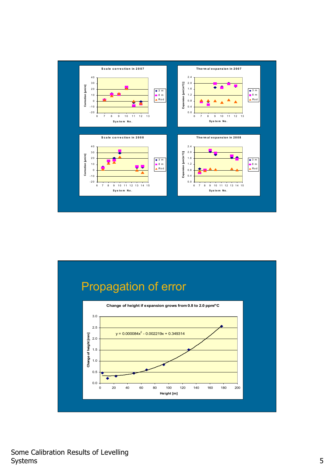